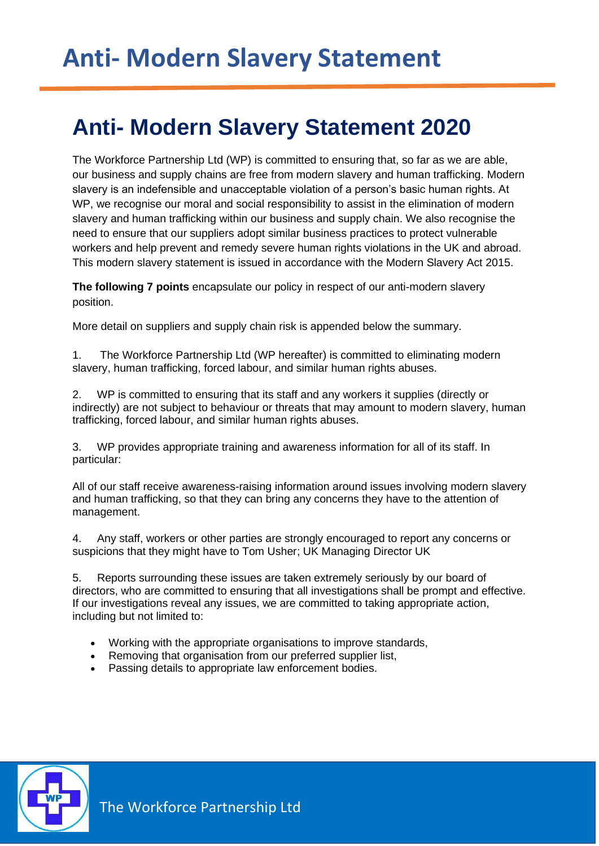## **2020 Anti- Modern Slavery Statement 2020**

The Workforce Partnership Ltd (WP) is committed to ensuring that, so far as we are able, our business and supply chains are free from modern slavery and human trafficking. Modern slavery is an indefensible and unacceptable violation of a person's basic human rights. At WP, we recognise our moral and social responsibility to assist in the elimination of modern slavery and human trafficking within our business and supply chain. We also recognise the need to ensure that our suppliers adopt similar business practices to protect vulnerable workers and help prevent and remedy severe human rights violations in the UK and abroad. This modern slavery statement is issued in accordance with the Modern Slavery Act 2015.

**The following 7 points** encapsulate our policy in respect of our anti-modern slavery position.

More detail on suppliers and supply chain risk is appended below the summary.

1. The Workforce Partnership Ltd (WP hereafter) is committed to eliminating modern slavery, human trafficking, forced labour, and similar human rights abuses.

2. WP is committed to ensuring that its staff and any workers it supplies (directly or indirectly) are not subject to behaviour or threats that may amount to modern slavery, human trafficking, forced labour, and similar human rights abuses.

3. WP provides appropriate training and awareness information for all of its staff. In particular:

All of our staff receive awareness-raising information around issues involving modern slavery and human trafficking, so that they can bring any concerns they have to the attention of management.

4. Any staff, workers or other parties are strongly encouraged to report any concerns or suspicions that they might have to Tom Usher; UK Managing Director UK

5. Reports surrounding these issues are taken extremely seriously by our board of directors, who are committed to ensuring that all investigations shall be prompt and effective. If our investigations reveal any issues, we are committed to taking appropriate action, including but not limited to:

- Working with the appropriate organisations to improve standards,
- Removing that organisation from our preferred supplier list,
- Passing details to appropriate law enforcement bodies.

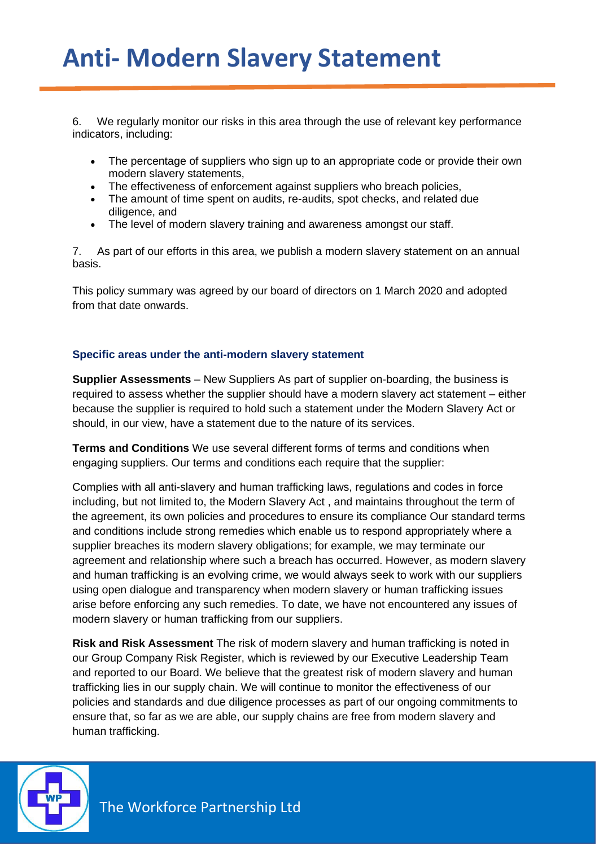## **Anti- Modern Slavery Statement**

**2020**

6. We regularly monitor our risks in this area through the use of relevant key performance indicators, including:

- The percentage of suppliers who sign up to an appropriate code or provide their own modern slavery statements,
- The effectiveness of enforcement against suppliers who breach policies,
- The amount of time spent on audits, re-audits, spot checks, and related due diligence, and
- The level of modern slavery training and awareness amongst our staff.

7. As part of our efforts in this area, we publish a modern slavery statement on an annual basis.

This policy summary was agreed by our board of directors on 1 March 2020 and adopted from that date onwards.

## **Specific areas under the anti-modern slavery statement**

**Supplier Assessments** – New Suppliers As part of supplier on-boarding, the business is required to assess whether the supplier should have a modern slavery act statement – either because the supplier is required to hold such a statement under the Modern Slavery Act or should, in our view, have a statement due to the nature of its services.

**Terms and Conditions** We use several different forms of terms and conditions when engaging suppliers. Our terms and conditions each require that the supplier:

Complies with all anti-slavery and human trafficking laws, regulations and codes in force including, but not limited to, the Modern Slavery Act , and maintains throughout the term of the agreement, its own policies and procedures to ensure its compliance Our standard terms and conditions include strong remedies which enable us to respond appropriately where a supplier breaches its modern slavery obligations; for example, we may terminate our agreement and relationship where such a breach has occurred. However, as modern slavery and human trafficking is an evolving crime, we would always seek to work with our suppliers using open dialogue and transparency when modern slavery or human trafficking issues arise before enforcing any such remedies. To date, we have not encountered any issues of modern slavery or human trafficking from our suppliers.

**Risk and Risk Assessment** The risk of modern slavery and human trafficking is noted in our Group Company Risk Register, which is reviewed by our Executive Leadership Team and reported to our Board. We believe that the greatest risk of modern slavery and human trafficking lies in our supply chain. We will continue to monitor the effectiveness of our policies and standards and due diligence processes as part of our ongoing commitments to ensure that, so far as we are able, our supply chains are free from modern slavery and human trafficking.